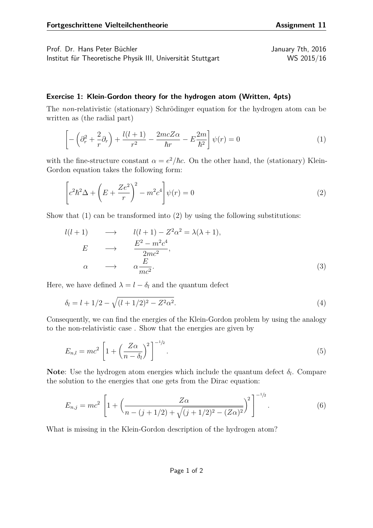Prof. Dr. Hans Peter Büchler January 7th, 2016 Institut für Theoretische Physik III, Universität Stuttgart WS 2015/16

<span id="page-0-1"></span><span id="page-0-0"></span>

## **Exercise 1: Klein-Gordon theory for the hydrogen atom (Written, 4pts)**

The *non*-relativistic (stationary) Schrödinger equation for the hydrogen atom can be written as (the radial part)

$$
\left[ -\left(\partial_r^2 + \frac{2}{r}\partial_r\right) + \frac{l(l+1)}{r^2} - \frac{2mcZ\alpha}{\hbar r} - E\frac{2m}{\hbar^2} \right] \psi(r) = 0\tag{1}
$$

with the fine-structure constant  $\alpha = e^2/\hbar c$ . On the other hand, the (stationary) Klein-Gordon equation takes the following form:

$$
\left[c^{2}\hbar^{2}\Delta + \left(E + \frac{Ze^{2}}{r}\right)^{2} - m^{2}c^{4}\right]\psi(r) = 0
$$
\n(2)

Show that [\(1\)](#page-0-0) can be transformed into [\(2\)](#page-0-1) by using the following substitutions:

$$
l(l+1) \longrightarrow l(l+1) - Z^2 \alpha^2 = \lambda(\lambda + 1),
$$
  
\n
$$
E \longrightarrow \frac{E^2 - m^2 c^4}{2mc^2},
$$
  
\n
$$
\alpha \longrightarrow \alpha \frac{E}{mc^2}.
$$
\n(3)

Here, we have defined  $\lambda = l - \delta_l$  and the quantum defect

$$
\delta_l = l + 1/2 - \sqrt{(l + 1/2)^2 - Z^2 \alpha^2}.
$$
\n(4)

Consequently, we can find the energies of the Klein-Gordon problem by using the analogy to the non-relativistic case . Show that the energies are given by

$$
E_{n,l} = mc^2 \left[ 1 + \left(\frac{Z\alpha}{n - \delta_l}\right)^2 \right]^{-1/2}.
$$
\n
$$
(5)
$$

**Note**: Use the hydrogen atom energies which include the quantum defect *δ<sup>l</sup>* . Compare the solution to the energies that one gets from the Dirac equation:

$$
E_{n,j} = mc^2 \left[ 1 + \left( \frac{Z\alpha}{n - (j + 1/2) + \sqrt{(j + 1/2)^2 - (Z\alpha)^2}} \right)^2 \right]^{-1/2}.
$$
 (6)

What is missing in the Klein-Gordon description of the hydrogen atom?